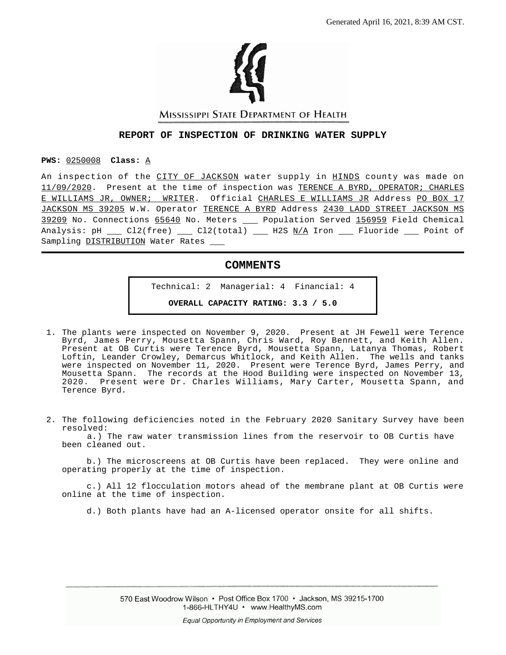

MISSISSIPPI STATE DEPARTMENT OF HEALTH

#### **REPORT OF INSPECTION OF DRINKING WATER SUPPLY**

**PWS:** 0250008 **Class:** A

An inspection of the CITY OF JACKSON water supply in HINDS county was made on 11/09/2020. Present at the time of inspection was TERENCE A BYRD, OPERATOR; CHARLES E WILLIAMS JR, OWNER; WRITER. Official CHARLES E WILLIAMS JR Address PO BOX 17 JACKSON MS 39205 W.W. Operator TERENCE A BYRD Address 2430 LADD STREET JACKSON MS 39209 No. Connections 65640 No. Meters \_\_ Population Served 156959 Field Chemical Analysis: pH  $\_\_$  Cl2(free)  $\_\_$  Cl2(total)  $\_\_$  H2S N/A Iron  $\_\_$  Fluoride  $\_\_$  Point of Sampling DISTRIBUTION Water Rates

#### **COMMENTS**

Technical: 2 Managerial: 4 Financial: 4 **OVERALL CAPACITY RATING: 3.3 / 5.0**

- 1. The plants were inspected on November 9, 2020. Present at JH Fewell were Terence Byrd, James Perry, Mousetta Spann, Chris Ward, Roy Bennett, and Keith Allen. Present at OB Curtis were Terence Byrd, Mousetta Spann, Latanya Thomas, Robert Loftin, Leander Crowley, Demarcus Whitlock, and Keith Allen. The wells and tanks were inspected on November 11, 2020. Present were Terence Byrd, James Perry, and Mousetta Spann. The records at the Hood Building were inspected on November 13, 2020. Present were Dr. Charles Williams, Mary Carter, Mousetta Spann, and Terence Byrd.
- 2. The following deficiencies noted in the February 2020 Sanitary Survey have been resolved:

 a.) The raw water transmission lines from the reservoir to OB Curtis have been cleaned out.

 b.) The microscreens at OB Curtis have been replaced. They were online and operating properly at the time of inspection.

 c.) All 12 flocculation motors ahead of the membrane plant at OB Curtis were online at the time of inspection.

d.) Both plants have had an A-licensed operator onsite for all shifts.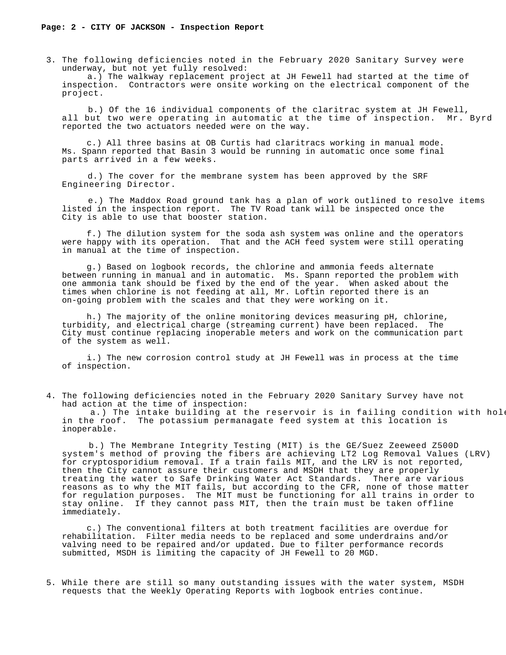3. The following deficiencies noted in the February 2020 Sanitary Survey were underway, but not yet fully resolved:

 a.) The walkway replacement project at JH Fewell had started at the time of inspection. Contractors were onsite working on the electrical component of the project.

 b.) Of the 16 individual components of the claritrac system at JH Fewell, all but two were operating in automatic at the time of inspection. Mr. Byrd reported the two actuators needed were on the way.

 c.) All three basins at OB Curtis had claritracs working in manual mode. Ms. Spann reported that Basin 3 would be running in automatic once some final parts arrived in a few weeks.

 d.) The cover for the membrane system has been approved by the SRF Engineering Director.

 e.) The Maddox Road ground tank has a plan of work outlined to resolve items listed in the inspection report. The TV Road tank will be inspected once the City is able to use that booster station.

 f.) The dilution system for the soda ash system was online and the operators were happy with its operation. That and the ACH feed system were still operating in manual at the time of inspection.

 g.) Based on logbook records, the chlorine and ammonia feeds alternate between running in manual and in automatic. Ms. Spann reported the problem with one ammonia tank should be fixed by the end of the year. When asked about the times when chlorine is not feeding at all, Mr. Loftin reported there is an on-going problem with the scales and that they were working on it.

 h.) The majority of the online monitoring devices measuring pH, chlorine, turbidity, and electrical charge (streaming current) have been replaced. The City must continue replacing inoperable meters and work on the communication part of the system as well.

 i.) The new corrosion control study at JH Fewell was in process at the time of inspection.

 4. The following deficiencies noted in the February 2020 Sanitary Survey have not had action at the time of inspection:

a.) The intake building at the reservoir is in failing condition with hole in the roof. The potassium permanagate feed system at this location is inoperable.

 b.) The Membrane Integrity Testing (MIT) is the GE/Suez Zeeweed Z500D system's method of proving the fibers are achieving LT2 Log Removal Values (LRV) for cryptosporidium removal. If a train fails MIT, and the LRV is not reported, then the City cannot assure their customers and MSDH that they are properly treating the water to Safe Drinking Water Act Standards. There are various reasons as to why the MIT fails, but according to the CFR, none of those matter for regulation purposes. The MIT must be functioning for all trains in order to stay online. If they cannot pass MIT, then the train must be taken offline immediately.

 c.) The conventional filters at both treatment facilities are overdue for rehabilitation. Filter media needs to be replaced and some underdrains and/or valving need to be repaired and/or updated. Due to filter performance records submitted, MSDH is limiting the capacity of JH Fewell to 20 MGD.

 5. While there are still so many outstanding issues with the water system, MSDH requests that the Weekly Operating Reports with logbook entries continue.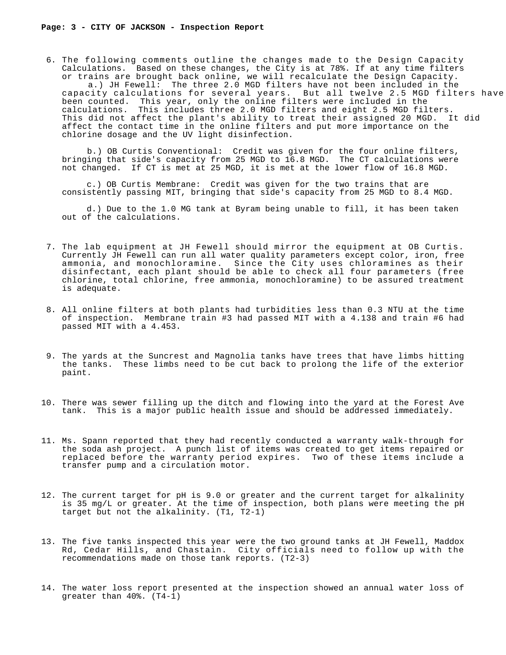6. The following comments outline the changes made to the Design Capacity Calculations. Based on these changes, the City is at 78%. If at any time filters or trains are brought back online, we will recalculate the Design Capacity. a.) JH Fewell: The three 2.0 MGD filters have not been included in the capacity calculations for several years. But all twelve 2.5 MGD filters have been counted. This year, only the online filters were included in the calculations. This includes three 2.0 MGD filters and eight 2.5 MGD filters. This did not affect the plant's ability to treat their assigned 20 MGD. It did affect the contact time in the online filters and put more importance on the chlorine dosage and the UV light disinfection.

 b.) OB Curtis Conventional: Credit was given for the four online filters, bringing that side's capacity from 25 MGD to 16.8 MGD. The CT calculations were not changed. If CT is met at 25 MGD, it is met at the lower flow of 16.8 MGD.

 c.) OB Curtis Membrane: Credit was given for the two trains that are consistently passing MIT, bringing that side's capacity from 25 MGD to 8.4 MGD.

 d.) Due to the 1.0 MG tank at Byram being unable to fill, it has been taken out of the calculations.

- 7. The lab equipment at JH Fewell should mirror the equipment at OB Curtis. Currently JH Fewell can run all water quality parameters except color, iron, free ammonia, and monochloramine. Since the City uses chloramines as their disinfectant, each plant should be able to check all four parameters (free chlorine, total chlorine, free ammonia, monochloramine) to be assured treatment is adequate.
- 8. All online filters at both plants had turbidities less than 0.3 NTU at the time of inspection. Membrane train #3 had passed MIT with a 4.138 and train #6 had passed MIT with a 4.453.
- 9. The yards at the Suncrest and Magnolia tanks have trees that have limbs hitting the tanks. These limbs need to be cut back to prolong the life of the exterior paint.
- 10. There was sewer filling up the ditch and flowing into the yard at the Forest Ave tank. This is a major public health issue and should be addressed immediately.
- 11. Ms. Spann reported that they had recently conducted a warranty walk-through for the soda ash project. A punch list of items was created to get items repaired or replaced before the warranty period expires. Two of these items include a transfer pump and a circulation motor.
- 12. The current target for pH is 9.0 or greater and the current target for alkalinity is 35 mg/L or greater. At the time of inspection, both plans were meeting the pH target but not the alkalinity. (T1, T2-1)
- 13. The five tanks inspected this year were the two ground tanks at JH Fewell, Maddox Rd, Cedar Hills, and Chastain. City officials need to follow up with the recommendations made on those tank reports. (T2-3)
- 14. The water loss report presented at the inspection showed an annual water loss of greater than 40%. (T4-1)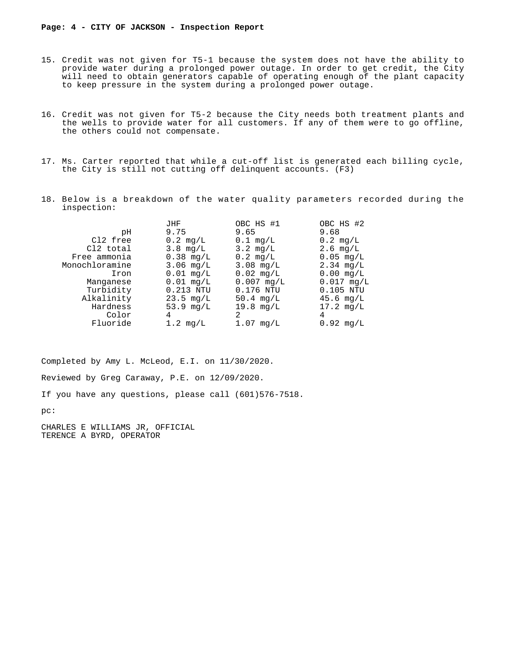- 15. Credit was not given for T5-1 because the system does not have the ability to provide water during a prolonged power outage. In order to get credit, the City will need to obtain generators capable of operating enough of the plant capacity to keep pressure in the system during a prolonged power outage.
- 16. Credit was not given for T5-2 because the City needs both treatment plants and the wells to provide water for all customers. If any of them were to go offline, the others could not compensate.
- 17. Ms. Carter reported that while a cut-off list is generated each billing cycle, the City is still not cutting off delinquent accounts. (F3)
- 18. Below is a breakdown of the water quality parameters recorded during the inspection:

| JHF                   | OBC HS #1             | OBC HS #2             |
|-----------------------|-----------------------|-----------------------|
| 9.75                  | 9.65                  | 9.68                  |
| $0.2 \text{ mg/L}$    | $0.1$ mg/L            | $0.2 \text{ mg/L}$    |
| $3.8 \text{ mg/L}$    | $3.2 \text{ mg/L}$    | $2.6 \, \text{mq/L}$  |
| $0.38 \, \text{mq/L}$ | $0.2 \text{ mg/L}$    | $0.05 \,$ mg/L        |
| $3.06 \, \text{mq/L}$ | $3.08 \, \text{mq/L}$ | $2.34 \, \text{mq/L}$ |
| $0.01$ mg/L           | $0.02 \, \text{mq/L}$ | $0.00 \, \text{mq/L}$ |
| $0.01$ mg/L           | $0.007$ mg/L          | $0.017$ mg/L          |
| $0.213$ NTU           | 0.176 NTU             | $0.105$ NTU           |
| $23.5 \text{ mg/L}$   | $50.4 \, \text{mq/L}$ | $45.6 \,\text{mq/L}$  |
| $53.9 \text{ mg/L}$   | $19.8 \text{ mg/L}$   | $17.2 \, mg/L$        |
| 4                     | 2                     | 4                     |
| $1.2 \text{ mg/L}$    | $1.07$ mg/L           | $0.92 \, \text{mq/L}$ |
|                       |                       |                       |

Completed by Amy L. McLeod, E.I. on 11/30/2020.

Reviewed by Greg Caraway, P.E. on 12/09/2020.

If you have any questions, please call (601)576-7518.

pc:

CHARLES E WILLIAMS JR, OFFICIAL TERENCE A BYRD, OPERATOR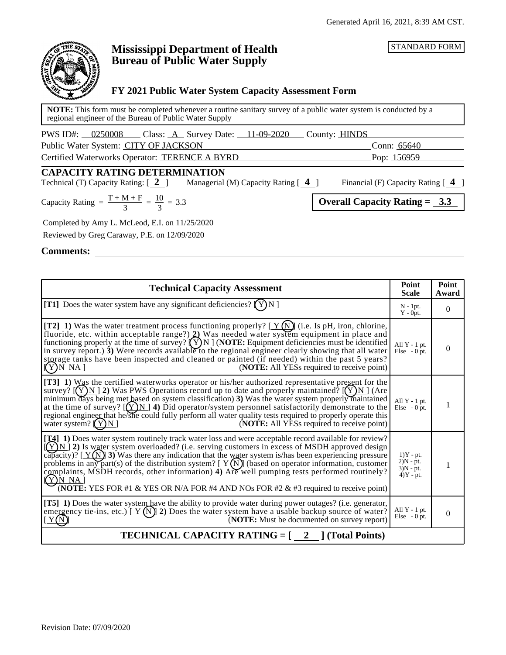STANDARD FORM



# **Mississippi Department of Health Bureau of Public Water Supply**

## **FY 2021 Public Water System Capacity Assessment Form**

**NOTE:** This form must be completed whenever a routine sanitary survey of a public water system is conducted by a regional engineer of the Bureau of Public Water Supply

PWS ID#: 0250008 Class: A Survey Date: 11-09-2020 County: HINDS Public Water System: CITY OF JACKSON Conn: 65640 Certified Waterworks Operator: TERENCE A BYRD Pop: 156959

## **CAPACITY RATING DETERMINATION**

Technical (T) Capacity Rating: [ **2** ] Managerial (M) Capacity Rating [ **4** ] Financial (F) Capacity Rating [ **4** ]

Capacity Rating =  $\frac{T + M + F}{3} = \frac{10}{3} = 3.3$  Overall Capacity Rating =  $\frac{3.3}{3}$  $\frac{10}{3}$  = 3.3

Completed by Amy L. McLeod, E.I. on 11/25/2020

Reviewed by Greg Caraway, P.E. on 12/09/2020

**Comments:**

| <b>Technical Capacity Assessment</b>                                                                                                                                                                                                                                                                                                                                                                                                                                                                                                                                                                                                                        |                                                          | Point<br>Award |  |  |
|-------------------------------------------------------------------------------------------------------------------------------------------------------------------------------------------------------------------------------------------------------------------------------------------------------------------------------------------------------------------------------------------------------------------------------------------------------------------------------------------------------------------------------------------------------------------------------------------------------------------------------------------------------------|----------------------------------------------------------|----------------|--|--|
| [T1] Does the water system have any significant deficiencies? $(Y)N$ ]                                                                                                                                                                                                                                                                                                                                                                                                                                                                                                                                                                                      | $N - 1pt.$<br>$Y - 0$ <sub>pt</sub> .                    | $\overline{0}$ |  |  |
| [T2] 1) Was the water treatment process functioning properly? [ $Y(N)$ ] (i.e. Is pH, iron, chlorine,<br>fluoride, etc. within acceptable range?) 2) Was needed water system equipment in place and<br>functioning properly at the time of survey? $(Y)N$ (NOTE: Equipment deficiencies must be identified<br>in survey report.) $3$ ) Were records available to the regional engineer clearly showing that all water<br>storage tanks have been inspected and cleaned or painted (if needed) within the past 5 years?<br>(NOTE: All YESs required to receive point)<br>$(Y)$ N NA]                                                                         | All $Y - 1$ pt.<br>Else $-0$ pt.                         | $\mathbf{0}$   |  |  |
| [T3] 1) Was the certified waterworks operator or his/her authorized representative present for the<br>survey? $[(Y)N]$ 2) Was PWS Operations record up to date and properly maintained? $[(Y)N]$ (Are<br>minimum days being met based on system classification) 3) Was the water system properly maintained<br>at the time of survey? $[(Y)N]$ 4) Did operator/system personnel satisfactorily demonstrate to the<br>regional engineer that he/she could fully perform all water quality tests required to properly operate this<br>water system? $(Y)N$<br>( <b>NOTE:</b> All YESs required to receive point)                                              | All $Y - 1$ pt.<br>Else $-0$ pt.                         | 1              |  |  |
| [ <b>T4</b> ] 1) Does water system routinely track water loss and were acceptable record available for review?<br>$[(Y)N]$ 2) Is water system overloaded? (i.e. serving customers in excess of MSDH approved design<br>capacity)? [ $Y(N)$ ] 3) Was there any indication that the water system is/has been experiencing pressure<br>problems in any part(s) of the distribution system? $[\underline{Y(N)}]$ (based on operator information, customer<br>complaints, MSDH records, other information) 4) Are well pumping tests performed routinely?<br>$(Y)$ N NA]<br>(NOTE: YES FOR #1 & YES OR N/A FOR #4 AND NOs FOR #2 & #3 required to receive point) | $1)Y - pt.$<br>$2)N - pt.$<br>$3)N - pt.$<br>$4)Y - pt.$ | 1              |  |  |
| [T5] 1) Does the water system have the ability to provide water during power outages? (i.e. generator,<br>emergency tie-ins, etc.) [ $Y(N)$ ] 2) Does the water system have a usable backup source of water?<br>(NOTE: Must be documented on survey report)<br>Y(N)                                                                                                                                                                                                                                                                                                                                                                                         | All $Y - 1$ pt.<br>Else $-0$ pt.                         | $\mathbf{0}$   |  |  |
| <b>TECHNICAL CAPACITY RATING = [</b><br>2 (Total Points)                                                                                                                                                                                                                                                                                                                                                                                                                                                                                                                                                                                                    |                                                          |                |  |  |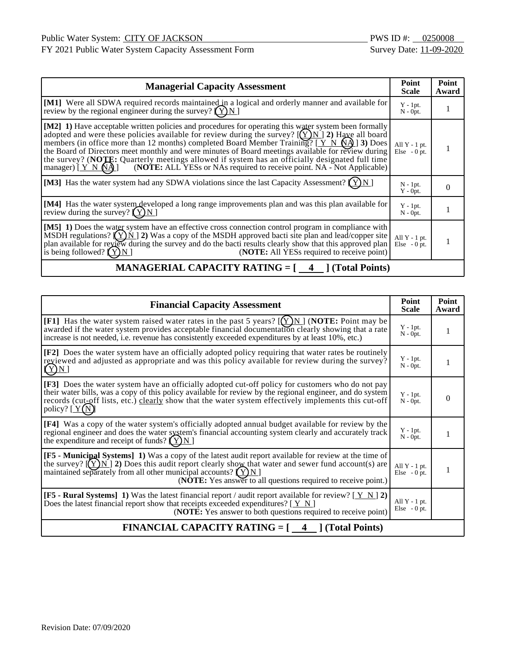FY 2021 Public Water System Capacity Assessment Form Survey Date: 11-09-2020

| <b>Managerial Capacity Assessment</b>                                                                                                                                                                                                                                                                                                                                                                                                                                                                                                                                                                                          |                                   | Point<br>Award |
|--------------------------------------------------------------------------------------------------------------------------------------------------------------------------------------------------------------------------------------------------------------------------------------------------------------------------------------------------------------------------------------------------------------------------------------------------------------------------------------------------------------------------------------------------------------------------------------------------------------------------------|-----------------------------------|----------------|
| [M1] Were all SDWA required records maintained in a logical and orderly manner and available for review by the regional engineer during the survey? $(\hat{Y})N$ ]                                                                                                                                                                                                                                                                                                                                                                                                                                                             | $Y - 1pt.$<br>$N - 0pt$ .         |                |
| [M2] 1) Have acceptable written policies and procedures for operating this water system been formally<br>adopted and were these policies available for review during the survey? $[(Y)N]$ 2) Have all board<br>members (in office more than 12 months) completed Board Member Training? [ $Y \ N \ (A)$ ] 3) Does<br>the Board of Directors meet monthly and were minutes of Board meetings available for review during<br>the survey? (NOTE: Quarterly meetings allowed if system has an officially designated full time<br>manager) $[Y \ N \ NA]$<br>(NOTE: ALL YESs or NAs required to receive point. NA - Not Applicable) | All $Y - 1$ pt.<br>Else $-0$ pt.  |                |
| [M3] Has the water system had any SDWA violations since the last Capacity Assessment?                                                                                                                                                                                                                                                                                                                                                                                                                                                                                                                                          | $N - 1pt$ .<br>$Y - 0pt.$         | 0              |
| [M4] Has the water system developed a long range improvements plan and was this plan available for<br>review during the survey? $(Y)N$                                                                                                                                                                                                                                                                                                                                                                                                                                                                                         | $Y - 1pt.$<br>$N - Opt.$          |                |
| [M5] 1) Does the water system have an effective cross connection control program in compliance with<br>MSDH regulations? $(Y)$ N   2) Was a copy of the MSDH approved bacti site plan and lead/copper site<br>plan available for review during the survey and do the bacti results clearly show that this approved plan<br>is being followed? $(Y)$ N<br>( <b>NOTE:</b> All YESs required to receive point)                                                                                                                                                                                                                    | All $Y - 1$ pt.<br>$Else - 0 pt.$ |                |

# **MANAGERIAL CAPACITY RATING = [4 ] (Total Points)**

| <b>Financial Capacity Assessment</b>                                                                                                                                                                                                                                                                                                                   | Point<br><b>Scale</b>             | Point<br>Award |  |  |
|--------------------------------------------------------------------------------------------------------------------------------------------------------------------------------------------------------------------------------------------------------------------------------------------------------------------------------------------------------|-----------------------------------|----------------|--|--|
| [F1] Has the water system raised water rates in the past 5 years? $[(Y)N]$ (NOTE: Point may be<br>awarded if the water system provides acceptable financial documentation clearly showing that a rate<br>increase is not needed, i.e. revenue has consistently exceeded expenditures by at least 10%, etc.)                                            | $Y - 1pt.$<br>$N - Opt.$          | 1              |  |  |
| [F2] Does the water system have an officially adopted policy requiring that water rates be routinely<br>reviewed and adjusted as appropriate and was this policy available for review during the survey?<br>(Y)N                                                                                                                                       | $Y - 1pt$ .<br>$N - 0pt$ .        |                |  |  |
| [F3] Does the water system have an officially adopted cut-off policy for customers who do not pay<br>their water bills, was a copy of this policy available for review by the regional engineer, and do system<br>records (cut-off lists, etc.) clearly show that the water system effectively implements this cut-off<br>policy? $[\underline{Y(N)}]$ | $Y - 1pt$ .<br>$N - 0pt$ .        | $\Omega$       |  |  |
| [F4] Was a copy of the water system's officially adopted annual budget available for review by the<br>regional engineer and does the water system's financial accounting system clearly and accurately track<br>the expenditure and receipt of funds? $(Y)N$                                                                                           | $Y - 1pt$ .<br>$N - 0pt$ .        | 1              |  |  |
| [F5 - Municipal Systems] 1) Was a copy of the latest audit report available for review at the time of<br>the survey? $[(Y)N]$ 2) Does this audit report clearly show that water and sewer fund account(s) are<br>maintained separately from all other municipal accounts? $(Y)N$<br>(NOTE: Yes answer to all questions required to receive point.)     | All $Y - 1$ pt.<br>Else $-0$ pt.  | 1              |  |  |
| <b>[F5 - Rural Systems]</b> 1) Was the latest financial report / audit report available for review? $(Y \ N   2)$<br>Does the latest financial report show that receipts exceeded expenditures? $[\underline{Y} \underline{N}]$<br>(NOTE: Yes answer to both questions required to receive point)                                                      | All $Y - 1$ pt.<br>$Else - 0 pt.$ |                |  |  |
| <b>FINANCIAL CAPACITY RATING = <math>\begin{bmatrix} 4 \\ 1 \end{bmatrix}</math> (Total Points)</b>                                                                                                                                                                                                                                                    |                                   |                |  |  |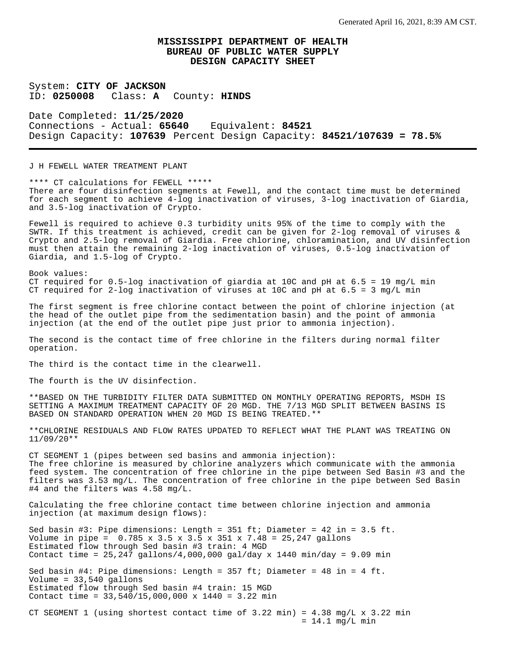System: **CITY OF JACKSON** ID: **0250008** Class: **A** County: **HINDS**

Date Completed: **11/25/2020** Connections - Actual: **65640** Equivalent: **84521** Design Capacity: **107639** Percent Design Capacity: **84521/107639 = 78.5%**

J H FEWELL WATER TREATMENT PLANT

\*\*\*\* CT calculations for FEWELL \*\*\*\*\* There are four disinfection segments at Fewell, and the contact time must be determined for each segment to achieve 4-log inactivation of viruses, 3-log inactivation of Giardia, and 3.5-log inactivation of Crypto.

Fewell is required to achieve 0.3 turbidity units 95% of the time to comply with the SWTR. If this treatment is achieved, credit can be given for 2-log removal of viruses & Crypto and 2.5-log removal of Giardia. Free chlorine, chloramination, and UV disinfection must then attain the remaining 2-log inactivation of viruses, 0.5-log inactivation of Giardia, and 1.5-log of Crypto.

Book values: CT required for  $0.5$ -log inactivation of giardia at 10C and pH at  $6.5 = 19$  mg/L min CT required for 2-log inactivation of viruses at 10C and pH at  $6.5 = 3$  mg/L min

The first segment is free chlorine contact between the point of chlorine injection (at the head of the outlet pipe from the sedimentation basin) and the point of ammonia injection (at the end of the outlet pipe just prior to ammonia injection).

The second is the contact time of free chlorine in the filters during normal filter operation.

The third is the contact time in the clearwell.

The fourth is the UV disinfection.

\*\*BASED ON THE TURBIDITY FILTER DATA SUBMITTED ON MONTHLY OPERATING REPORTS, MSDH IS SETTING A MAXIMUM TREATMENT CAPACITY OF 20 MGD. THE 7/13 MGD SPLIT BETWEEN BASINS IS BASED ON STANDARD OPERATION WHEN 20 MGD IS BEING TREATED.\*\*

\*\*CHLORINE RESIDUALS AND FLOW RATES UPDATED TO REFLECT WHAT THE PLANT WAS TREATING ON 11/09/20\*\*

CT SEGMENT 1 (pipes between sed basins and ammonia injection): The free chlorine is measured by chlorine analyzers which communicate with the ammonia feed system. The concentration of free chlorine in the pipe between Sed Basin #3 and the filters was 3.53 mg/L. The concentration of free chlorine in the pipe between Sed Basin #4 and the filters was 4.58 mg/L.

Calculating the free chlorine contact time between chlorine injection and ammonia injection (at maximum design flows):

Sed basin #3: Pipe dimensions: Length = 351 ft; Diameter = 42 in = 3.5 ft. Volume in pipe =  $0.785 \times 3.5 \times 3.5 \times 351 \times 7.48 = 25,247$  gallons Estimated flow through Sed basin #3 train: 4 MGD Contact time =  $25,247$  gallons/4,000,000 gal/day x 1440 min/day = 9.09 min Sed basin #4: Pipe dimensions: Length =  $357$  ft; Diameter =  $48$  in =  $4$  ft. Volume = 33,540 gallons Estimated flow through Sed basin #4 train: 15 MGD Contact time = 33,540/15,000,000 x 1440 = 3.22 min

CT SEGMENT 1 (using shortest contact time of  $3.22$  min) =  $4.38$  mg/L x  $3.22$  min  $= 14.1$  mg/L min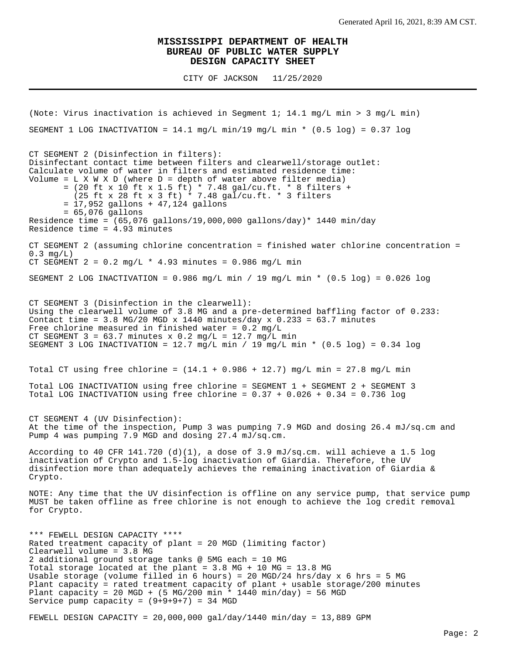CITY OF JACKSON 11/25/2020

(Note: Virus inactivation is achieved in Segment 1; 14.1 mg/L min > 3 mg/L min) SEGMENT 1 LOG INACTIVATION =  $14.1$  mg/L min/19 mg/L min \* (0.5 log) = 0.37 log CT SEGMENT 2 (Disinfection in filters): Disinfectant contact time between filters and clearwell/storage outlet: Calculate volume of water in filters and estimated residence time: Volume =  $L X W X D$  (where  $D =$  depth of water above filter media) = (20 ft x 10 ft x 1.5 ft) \* 7.48 gal/cu.ft. \* 8 filters + (25 ft x 28 ft x 3 ft) \* 7.48 gal/cu.ft. \* 3 filters = 17,952 gallons + 47,124 gallons = 65,076 gallons Residence time =  $(65,076 \text{ gallons}/19,000,000 \text{ gallons/day})* 1440 \text{ min/day}$ Residence time = 4.93 minutes CT SEGMENT 2 (assuming chlorine concentration = finished water chlorine concentration =  $0.3$  mg/L) CT SEGMENT  $2 = 0.2$  mg/L  $*$  4.93 minutes = 0.986 mg/L min SEGMENT 2 LOG INACTIVATION =  $0.986$  mg/L min / 19 mg/L min \*  $(0.5 \text{ log})$  =  $0.026$  log CT SEGMENT 3 (Disinfection in the clearwell): Using the clearwell volume of 3.8 MG and a pre-determined baffling factor of 0.233: Contact time =  $3.8$  MG/20 MGD x 1440 minutes/day x 0.233 =  $63.7$  minutes Free chlorine measured in finished water =  $0.2$  mg/L CT SEGMENT  $3 = 63.7$  minutes x 0.2 mg/L = 12.7 mg/L min SEGMENT 3 LOG INACTIVATION =  $12.7$  mg/L min / 19 mg/L min \* (0.5 log) = 0.34 log Total CT using free chlorine =  $(14.1 + 0.986 + 12.7)$  mg/L min = 27.8 mg/L min Total LOG INACTIVATION using free chlorine = SEGMENT 1 + SEGMENT 2 + SEGMENT 3 Total LOG INACTIVATION using free chlorine =  $0.37 + 0.026 + 0.34 = 0.736$  log CT SEGMENT 4 (UV Disinfection): At the time of the inspection, Pump 3 was pumping 7.9 MGD and dosing 26.4 mJ/sq.cm and Pump 4 was pumping 7.9 MGD and dosing 27.4 mJ/sq.cm. According to 40 CFR 141.720 (d)(1), a dose of 3.9 mJ/sq.cm. will achieve a 1.5 log inactivation of Crypto and 1.5-log inactivation of Giardia. Therefore, the UV disinfection more than adequately achieves the remaining inactivation of Giardia & Crypto. NOTE: Any time that the UV disinfection is offline on any service pump, that service pump MUST be taken offline as free chlorine is not enough to achieve the log credit removal for Crypto. \*\*\* FEWELL DESIGN CAPACITY \*\*\*\* Rated treatment capacity of plant = 20 MGD (limiting factor) Clearwell volume = 3.8 MG 2 additional ground storage tanks @ 5MG each = 10 MG Total storage located at the plant = 3.8 MG + 10 MG = 13.8 MG Usable storage (volume filled in 6 hours) = 20 MGD/24 hrs/day  $x$  6 hrs = 5 MG Plant capacity = rated treatment capacity of plant + usable storage/200 minutes Plant capacity = 20 MGD + (5 MG/200 min \* 1440 min/day) = 56 MGD Service pump capacity =  $(9+9+9+7)$  = 34 MGD

FEWELL DESIGN CAPACITY =  $20,000,000$  gal/day/1440 min/day = 13,889 GPM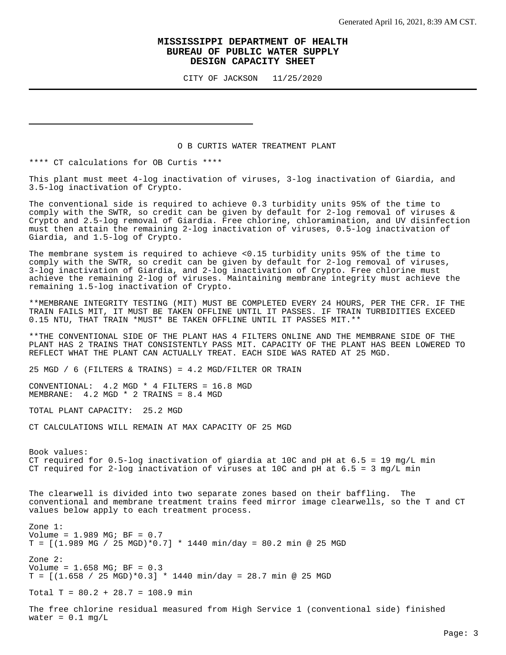CITY OF JACKSON 11/25/2020

#### O B CURTIS WATER TREATMENT PLANT

\*\*\*\* CT calculations for OB Curtis \*\*\*\*

This plant must meet 4-log inactivation of viruses, 3-log inactivation of Giardia, and 3.5-log inactivation of Crypto.

The conventional side is required to achieve 0.3 turbidity units 95% of the time to comply with the SWTR, so credit can be given by default for 2-log removal of viruses & Crypto and 2.5-log removal of Giardia. Free chlorine, chloramination, and UV disinfection must then attain the remaining 2-log inactivation of viruses, 0.5-log inactivation of Giardia, and 1.5-log of Crypto.

The membrane system is required to achieve <0.15 turbidity units 95% of the time to comply with the SWTR, so credit can be given by default for 2-log removal of viruses, 3-log inactivation of Giardia, and 2-log inactivation of Crypto. Free chlorine must achieve the remaining 2-log of viruses. Maintaining membrane integrity must achieve the remaining 1.5-log inactivation of Crypto.

\*\*MEMBRANE INTEGRITY TESTING (MIT) MUST BE COMPLETED EVERY 24 HOURS, PER THE CFR. IF THE TRAIN FAILS MIT, IT MUST BE TAKEN OFFLINE UNTIL IT PASSES. IF TRAIN TURBIDITIES EXCEED 0.15 NTU, THAT TRAIN \*MUST\* BE TAKEN OFFLINE UNTIL IT PASSES MIT.\*\*

\*\*THE CONVENTIONAL SIDE OF THE PLANT HAS 4 FILTERS ONLINE AND THE MEMBRANE SIDE OF THE PLANT HAS 2 TRAINS THAT CONSISTENTLY PASS MIT. CAPACITY OF THE PLANT HAS BEEN LOWERED TO REFLECT WHAT THE PLANT CAN ACTUALLY TREAT. EACH SIDE WAS RATED AT 25 MGD.

25 MGD / 6 (FILTERS & TRAINS) =  $4.2$  MGD/FILTER OR TRAIN

CONVENTIONAL: 4.2 MGD \* 4 FILTERS = 16.8 MGD MEMBRANE: 4.2 MGD \* 2 TRAINS = 8.4 MGD

TOTAL PLANT CAPACITY: 25.2 MGD

CT CALCULATIONS WILL REMAIN AT MAX CAPACITY OF 25 MGD

Book values: CT required for  $0.5$ -log inactivation of giardia at 10C and pH at  $6.5 = 19$  mg/L min CT required for 2-log inactivation of viruses at  $10C$  and pH at  $6.5 = 3$  mg/L min

The clearwell is divided into two separate zones based on their baffling. The conventional and membrane treatment trains feed mirror image clearwells, so the T and CT values below apply to each treatment process.

Zone 1: Volume = 1.989 MG; BF = 0.7  $T = [(1.989 \text{ MG} / 25 \text{ MGD})*0.7] * 1440 \text{ min/day} = 80.2 \text{ min}$  @ 25 MGD Zone 2: Volume = 1.658 MG; BF = 0.3  $T = [(1.658 / 25 MGD)*0.3] * 1440 m in/day = 28.7 m in @ 25 MGD$ 

Total T =  $80.2 + 28.7 = 108.9$  min

The free chlorine residual measured from High Service 1 (conventional side) finished water =  $0.1$  mg/L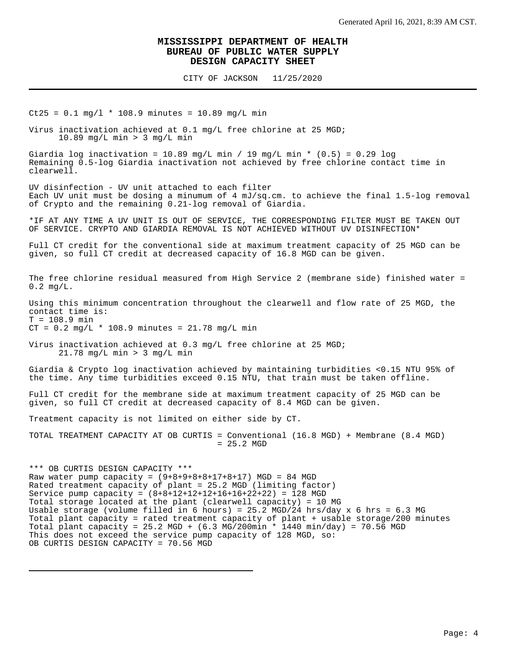CITY OF JACKSON 11/25/2020

 $Ct25 = 0.1$  mg/l \* 108.9 minutes = 10.89 mg/L min

Virus inactivation achieved at 0.1 mg/L free chlorine at 25 MGD; 10.89 mg/L min > 3 mg/L min

Giardia log inactivation = 10.89 mg/L min / 19 mg/L min \*  $(0.5)$  = 0.29 log Remaining 0.5-log Giardia inactivation not achieved by free chlorine contact time in clearwell.

UV disinfection - UV unit attached to each filter Each UV unit must be dosing a minumum of 4 mJ/sq.cm. to achieve the final 1.5-log removal of Crypto and the remaining 0.21-log removal of Giardia.

\*IF AT ANY TIME A UV UNIT IS OUT OF SERVICE, THE CORRESPONDING FILTER MUST BE TAKEN OUT OF SERVICE. CRYPTO AND GIARDIA REMOVAL IS NOT ACHIEVED WITHOUT UV DISINFECTION\*

Full CT credit for the conventional side at maximum treatment capacity of 25 MGD can be given, so full CT credit at decreased capacity of 16.8 MGD can be given.

The free chlorine residual measured from High Service 2 (membrane side) finished water = 0.2 mg/L.

Using this minimum concentration throughout the clearwell and flow rate of 25 MGD, the contact time is:  $T = 108.9$  min

 $CT = 0.2 mg/L * 108.9 minutes = 21.78 mg/L min$ 

Virus inactivation achieved at 0.3 mg/L free chlorine at 25 MGD; 21.78 mg/L min > 3 mg/L min

Giardia & Crypto log inactivation achieved by maintaining turbidities <0.15 NTU 95% of the time. Any time turbidities exceed 0.15 NTU, that train must be taken offline.

Full CT credit for the membrane side at maximum treatment capacity of 25 MGD can be given, so full CT credit at decreased capacity of 8.4 MGD can be given.

Treatment capacity is not limited on either side by CT.

TOTAL TREATMENT CAPACITY AT OB CURTIS = Conventional (16.8 MGD) + Membrane (8.4 MGD) = 25.2 MGD

\*\*\* OB CURTIS DESIGN CAPACITY \*\*\* Raw water pump capacity =  $(9+8+9+8+8+17+8+17)$  MGD = 84 MGD Rated treatment capacity of plant = 25.2 MGD (limiting factor) Service pump capacity =  $(8+8+12+12+12+16+16+22+22) = 128$  MGD Total storage located at the plant (clearwell capacity) = 10 MG Usable storage (volume filled in 6 hours) = 25.2 MGD/24 hrs/day x 6 hrs = 6.3 MG Total plant capacity = rated treatment capacity of plant + usable storage/200 minutes Total plant capacity = 25.2 MGD +  $(6.3 \text{ MG}/200 \text{min} * 1440 \text{ min}/\text{day}) = 70.56 \text{ MGD}$ This does not exceed the service pump capacity of 128 MGD, so: OB CURTIS DESIGN CAPACITY = 70.56 MGD